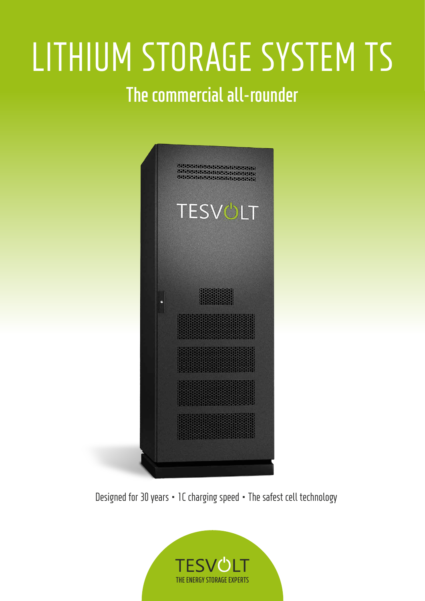# LITHIUM STORAGE SYSTEM TS **The commercial all-rounder**



Designed for 30 years ∙ 1C charging speed ∙ The safest cell technology

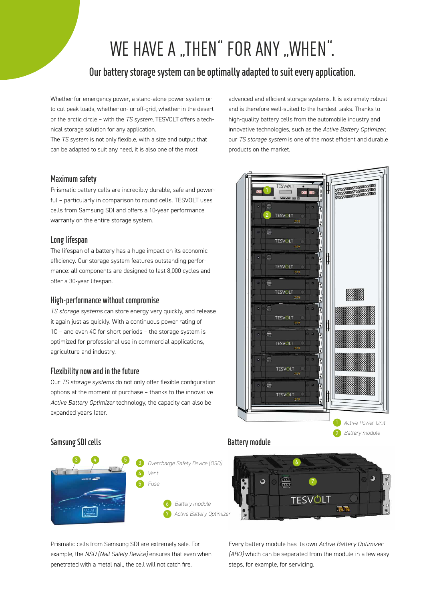## WE HAVE A "THEN" FOR ANY "WHEN".

#### **Our battery storage system can be optimally adapted to suit every application.**

Whether for emergency power, a stand-alone power system or to cut peak loads, whether on- or off-grid, whether in the desert or the arctic circle – with the *TS system*, TESVOLT offers a technical storage solution for any application.

The *TS system* is not only flexible, with a size and output that can be adapted to suit any need, it is also one of the most

#### **Maximum safety**

Prismatic battery cells are incredibly durable, safe and powerful – particularly in comparison to round cells. TESVOLT uses cells from Samsung SDI and offers a 10-year performance warranty on the entire storage system.

#### **Long lifespan**

The lifespan of a battery has a huge impact on its economic eficiency. Our storage system features outstanding performance: all components are designed to last 8,000 cycles and offer a 30-year lifespan.

#### **High-performance without compromise**

*TS storage systems* can store energy very quickly, and release it again just as quickly. With a continuous power rating of 1C – and even 4C for short periods – the storage system is optimized for professional use in commercial applications, agriculture and industry.

#### **Flexibility now and in the future**

**Samsung SDI cells**

Our *TS storage systems* do not only offer lexible coniguration options at the moment of purchase – thanks to the innovative *Active Battery Optimizer* technology, the capacity can also be expanded years later.

 6 *Battery module* 7 *Active Battery Optimizer* 3 4 5 *Overcharge Safety Device (OSD) Vent Fuse*

#### **Battery module**



Prismatic cells from Samsung SDI are extremely safe. For example, the *NSD (Nail Safety Device)* ensures that even when penetrated with a metal nail, the cell will not catch fire.

Every battery module has its own *Active Battery Optimizer (ABO)* which can be separated from the module in a few easy steps, for example, for servicing.

advanced and eficient storage systems. It is extremely robust and is therefore well-suited to the hardest tasks. Thanks to high-quality battery cells from the automobile industry and innovative technologies, such as the *Active Battery Optimizer*, our *TS storage system* is one of the most eficient and durable products on the market.

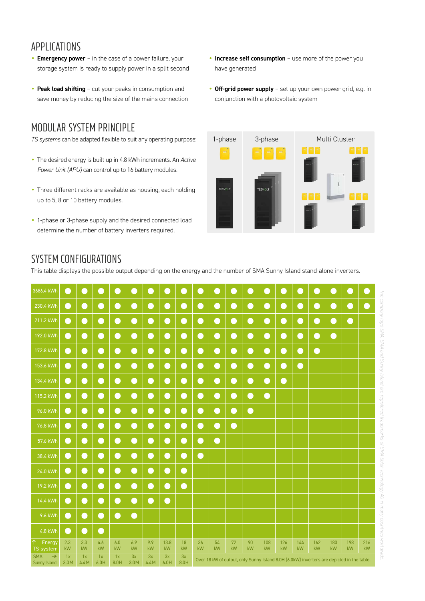#### APPLICATIONS

- **Emergency power** in the case of a power failure, your storage system is ready to supply power in a split second
- **Peak load shifting** cut your peaks in consumption and save money by reducing the size of the mains connection

## MODULAR SYSTEM PRINCIPLE

*TS systems* can be adapted flexible to suit any operating purpose:

- The desired energy is built up in 4.8 kWh increments. An *Active Power Unit (APU)* can control up to 16 battery modules.
- Three different racks are available as housing, each holding up to 5, 8 or 10 battery modules.
- 1-phase or 3-phase supply and the desired connected load determine the number of battery inverters required.
- **Increase self consumption** use more of the power you have generated
- **Off-grid power supply** set up your own power grid, e.g. in conjunction with a photovoltaic system



### SYSTEM CONFIGURATIONS

This table displays the possible output depending on the energy and the number of SMA Sunny Island stand-alone inverters.

| 3686.4 kWh                                  | - 1        |            |            |            |            |            |            |            |                                                                                          | - 1       | r.        |                            |           |           |           |           |           |           | - 1       |
|---------------------------------------------|------------|------------|------------|------------|------------|------------|------------|------------|------------------------------------------------------------------------------------------|-----------|-----------|----------------------------|-----------|-----------|-----------|-----------|-----------|-----------|-----------|
| 230.4 kWh                                   | $\bullet$  | $\bullet$  | ∩          | $\bigcap$  | ●          | $\bigodot$ | O          | $\Box$     | $\bullet$                                                                                | $\bullet$ | $\bullet$ | ∩                          | $\bullet$ | $\bullet$ | $\bullet$ | ●         | ●         | $\bullet$ | $\bullet$ |
| 211.2 kWh                                   | $\bullet$  | $\bullet$  | €          | $\bullet$  | $\bullet$  | $\bullet$  | $\bullet$  | $\bullet$  | $\bullet$                                                                                | $\bullet$ | $\bullet$ | $\bullet$                  | $\bullet$ | $\bullet$ | $\bullet$ | $\bullet$ | $\bullet$ | $\bullet$ |           |
| 192.0 kWh                                   | $\bullet$  | $\bullet$  | $\bullet$  | $\bullet$  | $\bullet$  | $\bullet$  | $\bullet$  | $\bullet$  | $\bullet$                                                                                | $\bullet$ | $\bullet$ | $\bullet$                  | $\bullet$ | $\bullet$ | $\bullet$ | $\bullet$ | $\bullet$ |           |           |
| 172.8 kWh                                   | $\bullet$  | $\bullet$  | $\bullet$  | $\bullet$  | $\bullet$  | $\bullet$  | $\bullet$  | $\bullet$  | $\bullet$                                                                                | $\bullet$ | $\bullet$ | $\bullet$                  | $\bullet$ | $\bullet$ | $\bullet$ | $\bullet$ |           |           |           |
| 153.6 kWh                                   | $\bullet$  | $\bullet$  | $\bullet$  | $\bullet$  | $\bullet$  | $\bullet$  | $\bullet$  | $\bullet$  | $\bullet$                                                                                | $\bullet$ | $\bullet$ | $\bullet$                  | $\bullet$ | $\bullet$ | $\bullet$ |           |           |           |           |
| 134.4 kWh                                   | $\bullet$  | $\bullet$  | $\bullet$  | $\bullet$  | $\bullet$  | $\bullet$  | $\bullet$  | $\bullet$  | $\bullet$                                                                                | $\bullet$ | $\bullet$ | $\bullet$                  | $\bullet$ | $\bullet$ |           |           |           |           |           |
| 115.2 kWh                                   | $\bullet$  | $\bullet$  | $\bullet$  | $\bullet$  | $\bullet$  | $\bullet$  | $\bullet$  | $\bullet$  | $\bullet$                                                                                | $\bullet$ | $\bullet$ | $\boldsymbol{\mathcal{Q}}$ | $\bullet$ |           |           |           |           |           |           |
| 96.0 kWh                                    | $\bullet$  | $\bullet$  | $\bullet$  | $\bullet$  | $\bullet$  | $\bullet$  | $\bullet$  | $\bullet$  | $\bullet$                                                                                | $\bullet$ | $\bullet$ | $\bullet$                  |           |           |           |           |           |           |           |
| 76.8 kWh                                    | $\bullet$  | $\bullet$  | $\bullet$  | $\bullet$  | $\bullet$  | $\bullet$  | $\bullet$  | $\bullet$  | $\bullet$                                                                                | $\bullet$ | $\bullet$ |                            |           |           |           |           |           |           |           |
| 57.6 kWh                                    | $\bullet$  | $\bullet$  | €          | $\bullet$  | $\bullet$  | $\bullet$  | $\bullet$  | $\bullet$  | $\bullet$                                                                                | $\bullet$ |           |                            |           |           |           |           |           |           |           |
| 38.4 kWh                                    | $\bullet$  | $\bullet$  | €          | $\bullet$  | $\bullet$  | $\bullet$  | $\bullet$  | $\bullet$  | $\bullet$                                                                                |           |           |                            |           |           |           |           |           |           |           |
| 24.0 kWh                                    | $\bullet$  | $\bullet$  | €          | $\bullet$  | $\bullet$  | $\bullet$  | $\bullet$  | €          |                                                                                          |           |           |                            |           |           |           |           |           |           |           |
| 19.2 kWh                                    | $\bullet$  | $\bullet$  | ∩          | $\bullet$  | $\bullet$  | $\bullet$  | $\bullet$  | $\bullet$  |                                                                                          |           |           |                            |           |           |           |           |           |           |           |
| 14.4 kWh                                    | $\bullet$  | $\bullet$  | ●          | $\bullet$  | $\bullet$  | $\bullet$  | $\bullet$  |            |                                                                                          |           |           |                            |           |           |           |           |           |           |           |
| 9.6 kWh                                     | $\bullet$  | $\bullet$  | ∩          | $\bullet$  | $\bullet$  |            |            |            |                                                                                          |           |           |                            |           |           |           |           |           |           |           |
| 4.8 kWh                                     | $\bullet$  | $\bullet$  | ●          |            |            |            |            |            |                                                                                          |           |           |                            |           |           |           |           |           |           |           |
| Energy<br><b>TS system</b>                  | 2.3<br>kW  | 3.3<br>kW  | 4.6<br>kW  | 6.0<br>kW  | 6.9<br>kW  | 9.9<br>kW  | 13.8<br>kW | 18<br>kW   | 36<br>kW                                                                                 | 54<br>kW  | 72<br>kW  | 90<br>kW                   | 108<br>kW | 126<br>kW | 144<br>kW | 162<br>kW | 180<br>kW | 198<br>kW | 216<br>kW |
| $\rightarrow$<br><b>SMA</b><br>Sunny Island | 1x<br>3.0M | 1x<br>4.4M | 1x<br>6.0H | 1x<br>8.0H | 3x<br>3.0M | 3x<br>4.4M | 3x<br>6.0H | 3x<br>8.0H | Over 18kW of output, only Sunny Island 8.0H (6.0kW) inverters are depicted in the table. |           |           |                            |           |           |           |           |           |           |           |

The company logo SMA *The company logo SMA, SMA and Sunny Island are registered trademarks of SMA Solar Technology AG in many countries worldwide.*  puejsy Auuns pue tyys Jejos Technology AG in many countries **MOLIQINIDE**